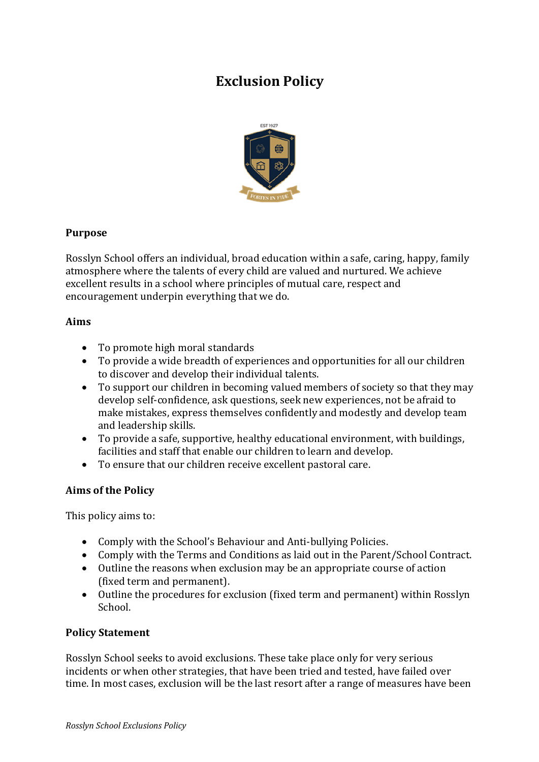# **Exclusion Policy**



### **Purpose**

Rosslyn School offers an individual, broad education within a safe, caring, happy, family atmosphere where the talents of every child are valued and nurtured. We achieve excellent results in a school where principles of mutual care, respect and encouragement underpin everything that we do.

#### **Aims**

- To promote high moral standards
- To provide a wide breadth of experiences and opportunities for all our children to discover and develop their individual talents.
- To support our children in becoming valued members of society so that they may develop self-confidence, ask questions, seek new experiences, not be afraid to make mistakes, express themselves confidently and modestly and develop team and leadership skills.
- To provide a safe, supportive, healthy educational environment, with buildings, facilities and staff that enable our children to learn and develop.
- To ensure that our children receive excellent pastoral care.

#### **Aims of the Policy**

This policy aims to:

- Comply with the School's Behaviour and Anti-bullying Policies.
- Comply with the Terms and Conditions as laid out in the Parent/School Contract.
- Outline the reasons when exclusion may be an appropriate course of action (fixed term and permanent).
- Outline the procedures for exclusion (fixed term and permanent) within Rosslyn School.

#### **Policy Statement**

Rosslyn School seeks to avoid exclusions. These take place only for very serious incidents or when other strategies, that have been tried and tested, have failed over time. In most cases, exclusion will be the last resort after a range of measures have been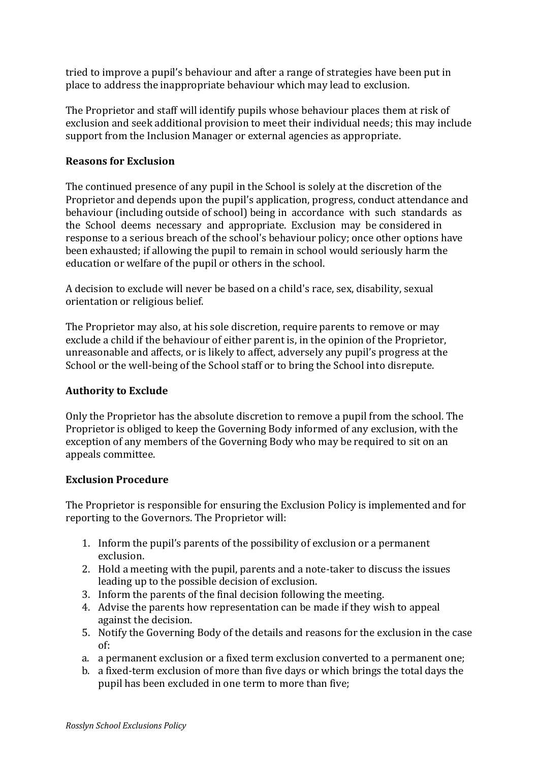tried to improve a pupil's behaviour and after a range of strategies have been put in place to address the inappropriate behaviour which may lead to exclusion.

The Proprietor and staff will identify pupils whose behaviour places them at risk of exclusion and seek additional provision to meet their individual needs; this may include support from the Inclusion Manager or external agencies as appropriate.

#### **Reasons for Exclusion**

The continued presence of any pupil in the School is solely at the discretion of the Proprietor and depends upon the pupil's application, progress, conduct attendance and behaviour (including outside of school) being in accordance with such standards as the School deems necessary and appropriate. Exclusion may be considered in response to a serious breach of the school's behaviour policy; once other options have been exhausted; if allowing the pupil to remain in school would seriously harm the education or welfare of the pupil or others in the school.

A decision to exclude will never be based on a child's race, sex, disability, sexual orientation or religious belief.

The Proprietor may also, at his sole discretion, require parents to remove or may exclude a child if the behaviour of either parent is, in the opinion of the Proprietor, unreasonable and affects, or is likely to affect, adversely any pupil's progress at the School or the well-being of the School staff or to bring the School into disrepute.

#### **Authority to Exclude**

Only the Proprietor has the absolute discretion to remove a pupil from the school. The Proprietor is obliged to keep the Governing Body informed of any exclusion, with the exception of any members of the Governing Body who may be required to sit on an appeals committee.

#### **Exclusion Procedure**

The Proprietor is responsible for ensuring the Exclusion Policy is implemented and for reporting to the Governors. The Proprietor will:

- 1. Inform the pupil's parents of the possibility of exclusion or a permanent exclusion.
- 2. Hold a meeting with the pupil, parents and a note-taker to discuss the issues leading up to the possible decision of exclusion.
- 3. Inform the parents of the final decision following the meeting.
- 4. Advise the parents how representation can be made if they wish to appeal against the decision.
- 5. Notify the Governing Body of the details and reasons for the exclusion in the case of:
- a. a permanent exclusion or a fixed term exclusion converted to a permanent one;
- b. a fixed-term exclusion of more than five days or which brings the total days the pupil has been excluded in one term to more than five;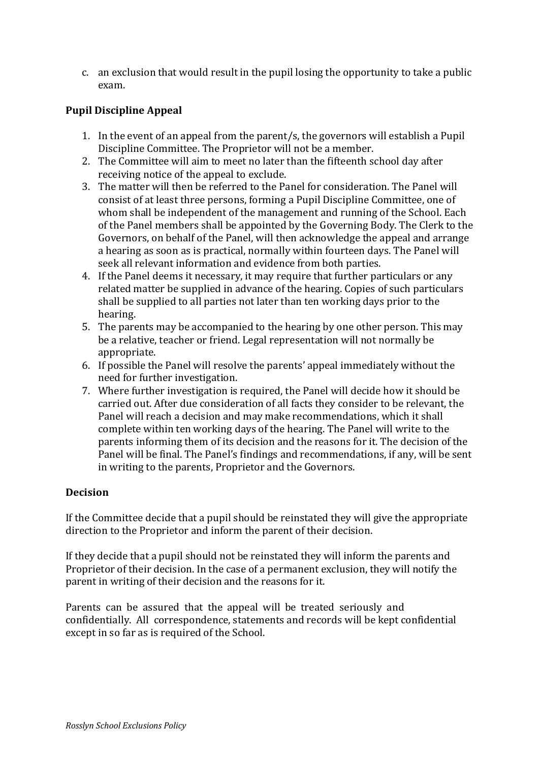c. an exclusion that would result in the pupil losing the opportunity to take a public exam.

## **Pupil Discipline Appeal**

- 1. In the event of an appeal from the parent/s, the governors will establish a Pupil Discipline Committee. The Proprietor will not be a member.
- 2. The Committee will aim to meet no later than the fifteenth school day after receiving notice of the appeal to exclude.
- 3. The matter will then be referred to the Panel for consideration. The Panel will consist of at least three persons, forming a Pupil Discipline Committee, one of whom shall be independent of the management and running of the School. Each of the Panel members shall be appointed by the Governing Body. The Clerk to the Governors, on behalf of the Panel, will then acknowledge the appeal and arrange a hearing as soon as is practical, normally within fourteen days. The Panel will seek all relevant information and evidence from both parties.
- 4. If the Panel deems it necessary, it may require that further particulars or any related matter be supplied in advance of the hearing. Copies of such particulars shall be supplied to all parties not later than ten working days prior to the hearing.
- 5. The parents may be accompanied to the hearing by one other person. This may be a relative, teacher or friend. Legal representation will not normally be appropriate.
- 6. If possible the Panel will resolve the parents' appeal immediately without the need for further investigation.
- 7. Where further investigation is required, the Panel will decide how it should be carried out. After due consideration of all facts they consider to be relevant, the Panel will reach a decision and may make recommendations, which it shall complete within ten working days of the hearing. The Panel will write to the parents informing them of its decision and the reasons for it. The decision of the Panel will be final. The Panel's findings and recommendations, if any, will be sent in writing to the parents, Proprietor and the Governors.

#### **Decision**

If the Committee decide that a pupil should be reinstated they will give the appropriate direction to the Proprietor and inform the parent of their decision.

If they decide that a pupil should not be reinstated they will inform the parents and Proprietor of their decision. In the case of a permanent exclusion, they will notify the parent in writing of their decision and the reasons for it.

Parents can be assured that the appeal will be treated seriously and confidentially. All correspondence, statements and records will be kept confidential except in so far as is required of the School.